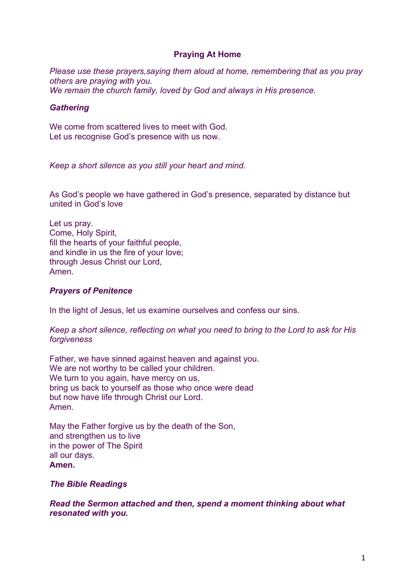# **Praying At Home**

*Please use these prayers,saying them aloud at home, remembering that as you pray others are praying with you. We remain the church family, loved by God and always in His presence.* 

### *Gathering*

We come from scattered lives to meet with God. Let us recognise God's presence with us now.

*Keep a short silence as you still your heart and mind.*

As God's people we have gathered in God's presence, separated by distance but united in God's love

Let us pray. Come, Holy Spirit, fill the hearts of your faithful people, and kindle in us the fire of your love; through Jesus Christ our Lord, Amen.

### *Prayers of Penitence*

In the light of Jesus, let us examine ourselves and confess our sins.

*Keep a short silence, reflecting on what you need to bring to the Lord to ask for His forgiveness*

Father, we have sinned against heaven and against you. We are not worthy to be called your children. We turn to you again, have mercy on us, bring us back to yourself as those who once were dead but now have life through Christ our Lord. Amen.

May the Father forgive us by the death of the Son, and strengthen us to live in the power of The Spirit all our days. **Amen.**

*The Bible Readings*

*Read the Sermon attached and then, spend a moment thinking about what resonated with you.*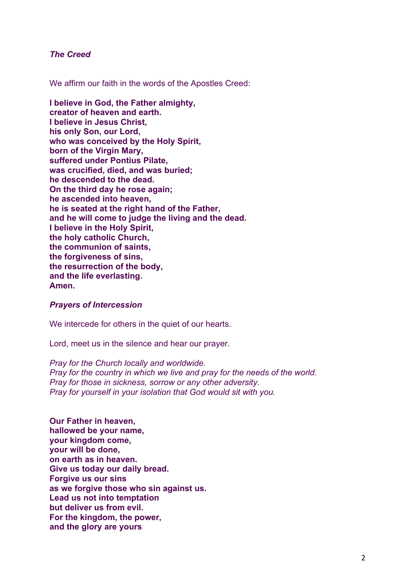### *The Creed*

We affirm our faith in the words of the Apostles Creed:

**I believe in God, the Father almighty, creator of heaven and earth. I believe in Jesus Christ, his only Son, our Lord, who was conceived by the Holy Spirit, born of the Virgin Mary, suffered under Pontius Pilate, was crucified, died, and was buried; he descended to the dead. On the third day he rose again; he ascended into heaven, he is seated at the right hand of the Father, and he will come to judge the living and the dead. I believe in the Holy Spirit, the holy catholic Church, the communion of saints, the forgiveness of sins, the resurrection of the body, and the life everlasting. Amen.**

#### *Prayers of Intercession*

We intercede for others in the quiet of our hearts.

Lord, meet us in the silence and hear our prayer.

*Pray for the Church locally and worldwide. Pray for the country in which we live and pray for the needs of the world. Pray for those in sickness, sorrow or any other adversity. Pray for yourself in your isolation that God would sit with you.*

**Our Father in heaven, hallowed be your name, your kingdom come, your will be done, on earth as in heaven. Give us today our daily bread. Forgive us our sins as we forgive those who sin against us. Lead us not into temptation but deliver us from evil. For the kingdom, the power, and the glory are yours**